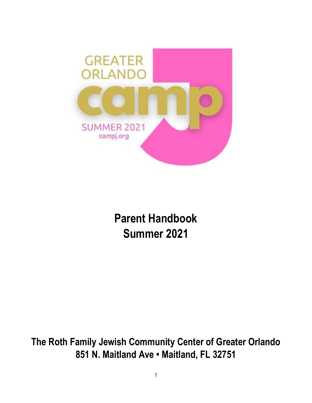

**Parent Handbook Summer 2021**

**The Roth Family Jewish Community Center of Greater Orlando 851 N. Maitland Ave • Maitland, FL 32751**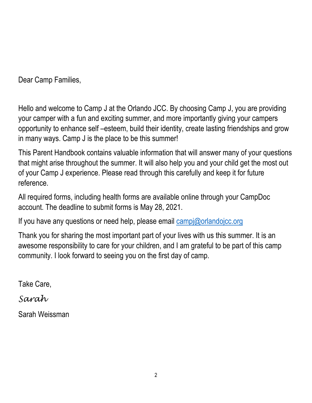Dear Camp Families,

Hello and welcome to Camp J at the Orlando JCC. By choosing Camp J, you are providing your camper with a fun and exciting summer, and more importantly giving your campers opportunity to enhance self –esteem, build their identity, create lasting friendships and grow in many ways. Camp J is the place to be this summer!

This Parent Handbook contains valuable information that will answer many of your questions that might arise throughout the summer. It will also help you and your child get the most out of your Camp J experience. Please read through this carefully and keep it for future reference.

All required forms, including health forms are available online through your CampDoc account. The deadline to submit forms is May 28, 2021.

If you have any questions or need help, please email  $\frac{\text{campi}}{\text{campi}}$  orlandojcc.org

Thank you for sharing the most important part of your lives with us this summer. It is an awesome responsibility to care for your children, and I am grateful to be part of this camp community. I look forward to seeing you on the first day of camp.

Take Care,

# *Sarah*

Sarah Weissman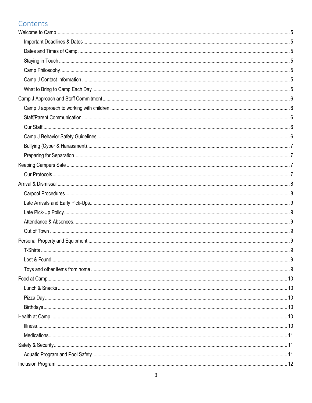# Contents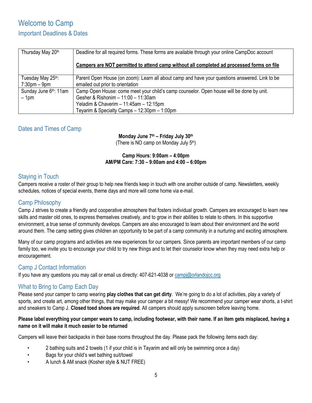# <span id="page-4-1"></span><span id="page-4-0"></span>Welcome to Camp Important Deadlines & Dates

| Thursday May 20th                  | Deadline for all required forms. These forms are available through your online CampDoc account<br>Campers are NOT permitted to attend camp without all completed ad processed forms on file |
|------------------------------------|---------------------------------------------------------------------------------------------------------------------------------------------------------------------------------------------|
| Tuesday May 25th:                  | Parent Open House (on zoom): Learn all about camp and have your questions answered. Link to be                                                                                              |
| $7:30 \text{pm} - 9 \text{pm}$     | emailed out prior to orientation                                                                                                                                                            |
| Sunday June 6 <sup>th</sup> : 11am | Camp Open House: come meet your child's camp counselor. Open house will be done by unit.                                                                                                    |
| $-1pm$                             | Gesher & Rishonim - 11:00 - 11:30am                                                                                                                                                         |
|                                    | Yeladim & Chaverim - 11:45am - 12:15pm<br>Teyarim & Specialty Camps - 12:30pm - 1:00pm                                                                                                      |

## <span id="page-4-2"></span>Dates and Times of Camp

## **Monday June 7th – Friday July 30th**

(There is NO camp on Monday July 5<sup>th</sup>)

### **Camp Hours: 9:00am – 4:00pm AM/PM Care: 7:30 – 9:00am and 4:00 – 6:00pm**

## <span id="page-4-3"></span>Staying in Touch

Campers receive a roster of their group to help new friends keep in touch with one another outside of camp. Newsletters, weekly schedules, notices of special events, theme days and more will come home via e-mail.

## <span id="page-4-4"></span>Camp Philosophy

Camp J strives to create a friendly and cooperative atmosphere that fosters individual growth. Campers are encouraged to learn new skills and master old ones, to express themselves creatively, and to grow in their abilities to relate to others. In this supportive environment, a true sense of community develops. Campers are also encouraged to learn about their environment and the world around them. The camp setting gives children an opportunity to be part of a camp community in a nurturing and exciting atmosphere.

Many of our camp programs and activities are new experiences for our campers. Since parents are important members of our camp family too, we invite you to encourage your child to try new things and to let their counselor know when they may need extra help or encouragement.

## <span id="page-4-5"></span>Camp J Contact Information

If you have any questions you may call or email us directly: 407-621-4038 or [campj@orlandojcc.org](mailto:campj@orlandojcc.org)

## <span id="page-4-6"></span>What to Bring to Camp Each Day

Please send your camper to camp wearing **play clothes that can get dirty**. We're going to do a lot of activities, play a variety of sports, and create art, among other things, that may make your camper a bit messy! We recommend your camper wear shorts, a t-shirt and sneakers to Camp J. **Closed toed shoes are required**. All campers should apply sunscreen before leaving home.

### **Please label everything your camper wears to camp, including footwear, with their name. If an item gets misplaced, having a name on it will make it much easier to be returned**

Campers will leave their backpacks in their base rooms throughout the day. Please pack the following items each day:

- 2 bathing suits and 2 towels (1 if your child is in Tayarim and will only be swimming once a day)
- Bags for your child's wet bathing suit/towel
- A lunch & AM snack (Kosher style & NUT FREE)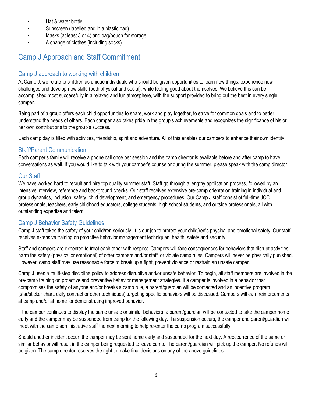- Hat & water bottle
- Sunscreen (labelled and in a plastic bag)
- Masks (at least 3 or 4) and bag/pouch for storage
- A change of clothes (including socks)

# <span id="page-5-0"></span>Camp J Approach and Staff Commitment

## <span id="page-5-1"></span>Camp J approach to working with children

At Camp J, we relate to children as unique individuals who should be given opportunities to learn new things, experience new challenges and develop new skills (both physical and social), while feeling good about themselves. We believe this can be accomplished most successfully in a relaxed and fun atmosphere, with the support provided to bring out the best in every single camper.

Being part of a group offers each child opportunities to share, work and play together, to strive for common goals and to better understand the needs of others. Each camper also takes pride in the group's achievements and recognizes the significance of his or her own contributions to the group's success.

Each camp day is filled with activities, friendship, spirit and adventure. All of this enables our campers to enhance their own identity.

## <span id="page-5-2"></span>Staff/Parent Communication

Each camper's family will receive a phone call once per session and the camp director is available before and after camp to have conversations as well. If you would like to talk with your camper's counselor during the summer, please speak with the camp director.

## <span id="page-5-3"></span>Our Staff

We have worked hard to recruit and hire top quality summer staff. Staff go through a lengthy application process, followed by an intensive interview, reference and background checks. Our staff receives extensive pre-camp orientation training in individual and group dynamics, inclusion, safety, child development, and emergency procedures. Our Camp J staff consist of full-time JCC professionals, teachers, early childhood educators, college students, high school students, and outside professionals, all with outstanding expertise and talent.

## <span id="page-5-4"></span>Camp J Behavior Safety Guidelines

Camp J staff takes the safety of your child/ren seriously. It is our job to protect your child/ren's physical and emotional safety. Our staff receives extensive training on proactive behavior management techniques, health, safety and security.

Staff and campers are expected to treat each other with respect. Campers will face consequences for behaviors that disrupt activities, harm the safety (physical or emotional) of other campers and/or staff, or violate camp rules. Campers will never be physically punished. However, camp staff may use reasonable force to break up a fight, prevent violence or restrain an unsafe camper.

Camp J uses a multi-step discipline policy to address disruptive and/or unsafe behavior. To begin, all staff members are involved in the pre-camp training on proactive and preventive behavior management strategies. If a camper is involved in a behavior that compromises the safety of anyone and/or breaks a camp rule, a parent/guardian will be contacted and an incentive program (star/sticker chart, daily contract or other techniques) targeting specific behaviors will be discussed. Campers will earn reinforcements at camp and/or at home for demonstrating improved behavior.

If the camper continues to display the same unsafe or similar behaviors, a parent/guardian will be contacted to take the camper home early and the camper may be suspended from camp for the following day. If a suspension occurs, the camper and parent/guardian will meet with the camp administrative staff the next morning to help re-enter the camp program successfully.

Should another incident occur, the camper may be sent home early and suspended for the next day. A reoccurrence of the same or similar behavior will result in the camper being requested to leave camp. The parent/quardian will pick up the camper. No refunds will be given. The camp director reserves the right to make final decisions on any of the above guidelines.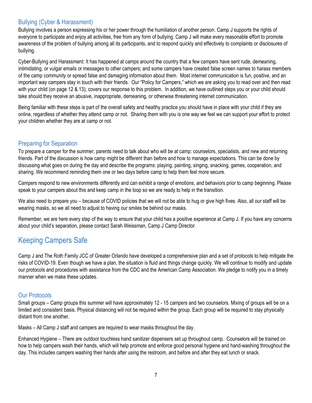## <span id="page-6-0"></span>Bullying (Cyber & Harassment)

Bullying involves a person expressing his or her power through the humiliation of another person. Camp J supports the rights of everyone to participate and enjoy all activities, free from any form of bullying. Camp J will make every reasonable effort to promote awareness of the problem of bullying among all its participants, and to respond quickly and effectively to complaints or disclosures of bullying.

Cyber-Bullying and Harassment: It has happened at camps around the country that a few campers have sent rude, demeaning, intimidating, or vulgar emails or messages to other campers; and some campers have created false screen names to harass members of the camp community or spread false and damaging information about them. Most internet communication is fun, positive, and an important way campers stay in touch with their friends. Our "Policy for Campers," which we are asking you to read over and then read with your child (on page 12 & 13), covers our response to this problem. In addition, we have outlined steps you or your child should take should they receive an abusive, inappropriate, demeaning, or otherwise threatening internet communication.

Being familiar with these steps is part of the overall safety and healthy practice you should have in place with your child if they are online, regardless of whether they attend camp or not. Sharing them with you is one way we feel we can support your effort to protect your children whether they are at camp or not.

## <span id="page-6-1"></span>Preparing for Separation

To prepare a camper for the summer, parents need to talk about who will be at camp: counselors, specialists, and new and returning friends. Part of the discussion is how camp might be different than before and how to manage expectations. This can be done by discussing what goes on during the day and describe the programs: playing, painting, singing, snacking, games, cooperation, and sharing. We recommend reminding them one or two days before camp to help them feel more secure.

Campers respond to new environments differently and can exhibit a range of emotions, and behaviors prior to camp beginning. Please speak to your campers about this and keep camp in the loop so we are ready to help in the transition.

We also need to prepare you – because of COVID policies that we will not be able to hug or give high fives. Also, all our staff will be wearing masks, so we all need to adjust to having our smiles be behind our masks.

Remember, we are here every step of the way to ensure that your child has a positive experience at Camp J. If you have any concerns about your child's separation, please contact Sarah Weissman, Camp J Camp Director.

# <span id="page-6-2"></span>Keeping Campers Safe

Camp J and The Roth Family JCC of Greater Orlando have developed a comprehensive plan and a set of protocols to help mitigate the risks of COVID-19. Even though we have a plan, the situation is fluid and things change quickly. We will continue to modify and update our protocols and procedures with assistance from the CDC and the American Camp Association. We pledge to notify you in a timely manner when we make these updates.

## <span id="page-6-3"></span>Our Protocols

Small groups – Camp groups this summer will have approximately 12 - 15 campers and two counselors. Mixing of groups will be on a limited and consistent basis. Physical distancing will not be required within the group. Each group will be required to stay physically distant from one another.

Masks – All Camp J staff and campers are required to wear masks throughout the day.

Enhanced Hygiene – There are outdoor touchless hand sanitizer dispensers set up throughout camp. Counselors will be trained on how to help campers wash their hands, which will help promote and enforce good personal hygiene and hand-washing throughout the day. This includes campers washing their hands after using the restroom, and before and after they eat lunch or snack.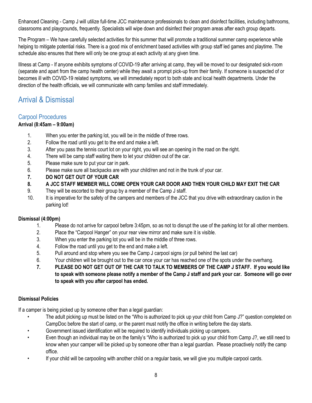Enhanced Cleaning - Camp J will utilize full-time JCC maintenance professionals to clean and disinfect facilities, including bathrooms, classrooms and playgrounds, frequently. Specialists will wipe down and disinfect their program areas after each group departs.

The Program – We have carefully selected activities for this summer that will promote a traditional summer camp experience while helping to mitigate potential risks. There is a good mix of enrichment based activities with group staff led games and playtime. The schedule also ensures that there will only be one group at each activity at any given time.

Illness at Camp - If anyone exhibits symptoms of COVID-19 after arriving at camp, they will be moved to our designated sick-room (separate and apart from the camp health center) while they await a prompt pick-up from their family. If someone is suspected of or becomes ill with COVID-19 related symptoms, we will immediately report to both state and local health departments. Under the direction of the health officials, we will communicate with camp families and staff immediately.

# <span id="page-7-0"></span>Arrival & Dismissal

## <span id="page-7-1"></span>Carpool Procedures

### **Arrival (8:45am – 9:00am)**

- 1. When you enter the parking lot, you will be in the middle of three rows.
- 2. Follow the road until you get to the end and make a left.
- 3. After you pass the tennis court lot on your right, you will see an opening in the road on the right.
- 4. There will be camp staff waiting there to let your children out of the car.
- 5. Please make sure to put your car in park.
- 6. Please make sure all backpacks are with your child/ren and not in the trunk of your car.
- **7. DO NOT GET OUT OF YOUR CAR**
- **8. A JCC STAFF MEMBER WILL COME OPEN YOUR CAR DOOR AND THEN YOUR CHILD MAY EXIT THE CAR**
- 9. They will be escorted to their group by a member of the Camp J staff.
- 10. It is imperative for the safety of the campers and members of the JCC that you drive with extraordinary caution in the parking lot!

### **Dismissal (4:00pm)**

- 1. Please do not arrive for carpool before 3:45pm, so as not to disrupt the use of the parking lot for all other members.
- 2. Place the "Carpool Hanger" on your rear view mirror and make sure it is visible.
- 3. When you enter the parking lot you will be in the middle of three rows.
- 4. Follow the road until you get to the end and make a left.
- 5. Pull around and stop where you see the Camp J carpool signs (or pull behind the last car)
- 6. Your children will be brought out to the car once your car has reached one of the spots under the overhang.
- **7. PLEASE DO NOT GET OUT OF THE CAR TO TALK TO MEMBERS OF THE CAMP J STAFF. If you would like to speak with someone please notify a member of the Camp J staff and park your car. Someone will go over to speak with you after carpool has ended.**

### **Dismissal Policies**

If a camper is being picked up by someone other than a legal guardian:

- The adult picking up must be listed on the "Who is authorized to pick up your child from Camp J?" question completed on CampDoc before the start of camp, or the parent must notify the office in writing before the day starts.
- Government issued identification will be required to identify individuals picking up campers.
- Even though an individual may be on the family's "Who is authorized to pick up your child from Camp J?, we still need to know when your camper will be picked up by someone other than a legal guardian. Please proactively notify the camp office.
- If your child will be carpooling with another child on a regular basis, we will give you multiple carpool cards.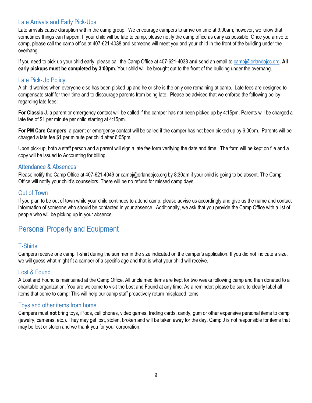## <span id="page-8-0"></span>Late Arrivals and Early Pick-Ups

Late arrivals cause disruption within the camp group. We encourage campers to arrive on time at 9:00am; however, we know that sometimes things can happen. If your child will be late to camp, please notify the camp office as early as possible. Once you arrive to camp, please call the camp office at 407-621-4038 and someone will meet you and your child in the front of the building under the overhang.

If you need to pick up your child early, please call the Camp Office at 407-621-4038 **and** send an email to [campj@orlandojcc.org](mailto:campj@orlandojcc.org)**. All early pickups must be completed by 3:00pm.** Your child will be brought out to the front of the building under the overhang.

### <span id="page-8-1"></span>Late Pick-Up Policy

A child worries when everyone else has been picked up and he or she is the only one remaining at camp. Late fees are designed to compensate staff for their time and to discourage parents from being late. Please be advised that we enforce the following policy regarding late fees:

**For Classic J**, a parent or emergency contact will be called if the camper has not been picked up by 4:15pm. Parents will be charged a late fee of \$1 per minute per child starting at 4:15pm.

**For PM Care Campers**, a parent or emergency contact will be called if the camper has not been picked up by 6:00pm. Parents will be charged a late fee \$1 per minute per child after 6:05pm.

Upon pick-up, both a staff person and a parent will sign a late fee form verifying the date and time. The form will be kept on file and a copy will be issued to Accounting for billing.

### <span id="page-8-2"></span>Attendance & Absences

Please notify the Camp Office at 407-621-4049 or campj@orlandojcc.org by 8:30am if your child is going to be absent. The Camp Office will notify your child's counselors. There will be no refund for missed camp days.

### <span id="page-8-3"></span>Out of Town

If you plan to be out of town while your child continues to attend camp, please advise us accordingly and give us the name and contact information of someone who should be contacted in your absence. Additionally, we ask that you provide the Camp Office with a list of people who will be picking up in your absence.

## <span id="page-8-4"></span>Personal Property and Equipment

### <span id="page-8-5"></span>T-Shirts

Campers receive one camp T-shirt during the summer in the size indicated on the camper's application. If you did not indicate a size, we will guess what might fit a camper of a specific age and that is what your child will receive.

### <span id="page-8-6"></span>Lost & Found

A Lost and Found is maintained at the Camp Office. All unclaimed items are kept for two weeks following camp and then donated to a charitable organization. You are welcome to visit the Lost and Found at any time. As a reminder: please be sure to clearly label all items that come to camp! This will help our camp staff proactively return misplaced items.

### <span id="page-8-7"></span>Toys and other items from home

Campers must **not** bring toys, iPods, cell phones, video games, trading cards, candy, gum or other expensive personal items to camp (jewelry, cameras, etc.). They may get lost, stolen, broken and will be taken away for the day. Camp J is not responsible for items that may be lost or stolen and we thank you for your corporation.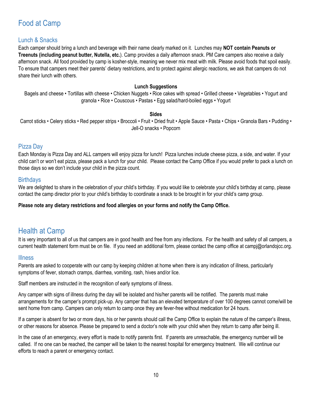# <span id="page-9-0"></span>Food at Camp

## <span id="page-9-1"></span>Lunch & Snacks

Each camper should bring a lunch and beverage with their name clearly marked on it. Lunches may **NOT contain Peanuts or Treenuts (including peanut butter, Nutella, etc.**). Camp provides a daily afternoon snack. PM Care campers also receive a daily afternoon snack. All food provided by camp is kosher-style, meaning we never mix meat with milk. Please avoid foods that spoil easily. To ensure that campers meet their parents' dietary restrictions, and to protect against allergic reactions, we ask that campers do not share their lunch with others.

#### **Lunch Suggestions**

Bagels and cheese • Tortillas with cheese • Chicken Nuggets • Rice cakes with spread • Grilled cheese • Vegetables • Yogurt and granola • Rice • Couscous • Pastas • Egg salad/hard-boiled eggs • Yogurt

#### **Sides**

Carrot sticks • Celery sticks • Red pepper strips • Broccoli • Fruit • Dried fruit • Apple Sauce • Pasta • Chips • Granola Bars • Pudding • Jell-O snacks • Popcorn

### <span id="page-9-2"></span>Pizza Day

Each Monday is Pizza Day and ALL campers will enjoy pizza for lunch! Pizza lunches include cheese pizza, a side, and water. If your child can't or won't eat pizza, please pack a lunch for your child. Please contact the Camp Office if you would prefer to pack a lunch on those days so we don't include your child in the pizza count.

### <span id="page-9-3"></span>**Birthdays**

We are delighted to share in the celebration of your child's birthday. If you would like to celebrate your child's birthday at camp, please contact the camp director prior to your child's birthday to coordinate a snack to be brought in for your child's camp group.

### **Please note any dietary restrictions and food allergies on your forms and notify the Camp Office.**

## <span id="page-9-4"></span>Health at Camp

It is very important to all of us that campers are in good health and free from any infections. For the health and safety of all campers, a current health statement form must be on file. If you need an additional form, please contact the camp office at campj@orlandojcc.org.

### <span id="page-9-5"></span>Illness

Parents are asked to cooperate with our camp by keeping children at home when there is any indication of illness, particularly symptoms of fever, stomach cramps, diarrhea, vomiting, rash, hives and/or lice.

Staff members are instructed in the recognition of early symptoms of illness.

Any camper with signs of illness during the day will be isolated and his/her parents will be notified. The parents must make arrangements for the camper's prompt pick-up. Any camper that has an elevated temperature of over 100 degrees cannot come/will be sent home from camp. Campers can only return to camp once they are fever-free without medication for 24 hours.

If a camper is absent for two or more days, his or her parents should call the Camp Office to explain the nature of the camper's illness, or other reasons for absence. Please be prepared to send a doctor's note with your child when they return to camp after being ill.

In the case of an emergency, every effort is made to notify parents first. If parents are unreachable, the emergency number will be called. If no one can be reached, the camper will be taken to the nearest hospital for emergency treatment. We will continue our efforts to reach a parent or emergency contact.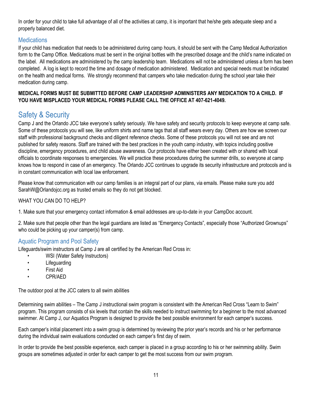In order for your child to take full advantage of all of the activities at camp, it is important that he/she gets adequate sleep and a properly balanced diet.

## <span id="page-10-0"></span>**Medications**

If your child has medication that needs to be administered during camp hours, it should be sent with the Camp Medical Authorization form to the Camp Office. Medications must be sent in the original bottles with the prescribed dosage and the child's name indicated on the label. All medications are administered by the camp leadership team. Medications will not be administered unless a form has been completed. A log is kept to record the time and dosage of medication administered. Medication and special needs must be indicated on the health and medical forms. We strongly recommend that campers who take medication during the school year take their medication during camp.

### **MEDICAL FORMS MUST BE SUBMITTED BEFORE CAMP LEADERSHIP ADMINISTERS ANY MEDICATION TO A CHILD. IF YOU HAVE MISPLACED YOUR MEDICAL FORMS PLEASE CALL THE OFFICE AT 407-621-4049.**

# <span id="page-10-1"></span>Safety & Security

Camp J and the Orlando JCC take everyone's safety seriously. We have safety and security protocols to keep everyone at camp safe. Some of these protocols you will see, like uniform shirts and name tags that all staff wears every day. Others are how we screen our staff with professional background checks and diligent reference checks. Some of these protocols you will not see and are not published for safety reasons. Staff are trained with the best practices in the youth camp industry, with topics including positive discipline, emergency procedures, and child abuse awareness. Our protocols have either been created with or shared with local officials to coordinate responses to emergencies. We will practice these procedures during the summer drills, so everyone at camp knows how to respond in case of an emergency. The Orlando JCC continues to upgrade its security infrastructure and protocols and is in constant communication with local law enforcement.

Please know that communication with our camp families is an integral part of our plans, via emails. Please make sure you add SarahW@Orlandojcc.org as trusted emails so they do not get blocked.

### WHAT YOU CAN DO TO HELP?

1. Make sure that your emergency contact information & email addresses are up-to-date in your CampDoc account.

2. Make sure that people other than the legal guardians are listed as "Emergency Contacts", especially those "Authorized Grownups" who could be picking up your camper(s) from camp.

## <span id="page-10-2"></span>Aquatic Program and Pool Safety

Lifeguards/swim instructors at Camp J are all certified by the American Red Cross in:

- WSI (Water Safety Instructors)
- Lifeguarding
- First Aid
- CPR/AED

The outdoor pool at the JCC caters to all swim abilities

Determining swim abilities – The Camp J instructional swim program is consistent with the American Red Cross "Learn to Swim" program. This program consists of six levels that contain the skills needed to instruct swimming for a beginner to the most advanced swimmer. At Camp J, our Aquatics Program is designed to provide the best possible environment for each camper's success.

Each camper's initial placement into a swim group is determined by reviewing the prior year's records and his or her performance during the individual swim evaluations conducted on each camper's first day of swim.

In order to provide the best possible experience, each camper is placed in a group according to his or her swimming ability. Swim groups are sometimes adjusted in order for each camper to get the most success from our swim program.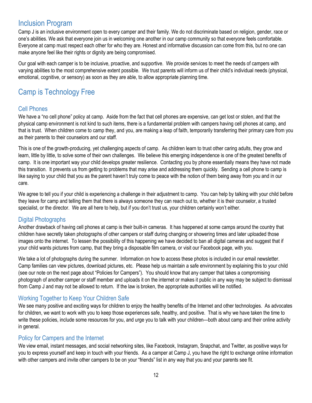## <span id="page-11-0"></span>Inclusion Program

Camp J is an inclusive environment open to every camper and their family. We do not discriminate based on religion, gender, race or one's abilities. We ask that everyone join us in welcoming one another in our camp community so that everyone feels comfortable. Everyone at camp must respect each other for who they are. Honest and informative discussion can come from this, but no one can make anyone feel like their rights or dignity are being compromised.

Our goal with each camper is to be inclusive, proactive, and supportive. We provide services to meet the needs of campers with varying abilities to the most comprehensive extent possible. We trust parents will inform us of their child's individual needs (physical, emotional, cognitive, or sensory) as soon as they are able, to allow appropriate planning time.

# <span id="page-11-1"></span>Camp is Technology Free

## <span id="page-11-2"></span>Cell Phones

We have a "no cell phone" policy at camp. Aside from the fact that cell phones are expensive, can get lost or stolen, and that the physical camp environment is not kind to such items, there is a fundamental problem with campers having cell phones at camp, and that is trust. When children come to camp they, and you, are making a leap of faith, temporarily transferring their primary care from you as their parents to their counselors and our staff.

This is one of the growth-producing, yet challenging aspects of camp. As children learn to trust other caring adults, they grow and learn, little by little, to solve some of their own challenges. We believe this emerging independence is one of the greatest benefits of camp. It is one important way your child develops greater resilience. Contacting you by phone essentially means they have not made this transition. It prevents us from getting to problems that may arise and addressing them quickly. Sending a cell phone to camp is like saying to your child that you as the parent haven't truly come to peace with the notion of them being away from you and in our care.

We agree to tell you if your child is experiencing a challenge in their adjustment to camp. You can help by talking with your child before they leave for camp and telling them that there is always someone they can reach out to, whether it is their counselor, a trusted specialist, or the director. We are all here to help, but if you don't trust us, your children certainly won't either.

## <span id="page-11-3"></span>Digital Photographs

Another drawback of having cell phones at camp is their built-in cameras. It has happened at some camps around the country that children have secretly taken photographs of other campers or staff during changing or showering times and later uploaded those images onto the internet. To lessen the possibility of this happening we have decided to ban all digital cameras and suggest that if your child wants pictures from camp, that they bring a disposable film camera, or visit our Facebook page, with you.

We take a lot of photographs during the summer. Information on how to access these photos is included in our email newsletter. Camp families can view pictures, download pictures, etc. Please help us maintain a safe environment by explaining this to your child (see our note on the next page about "Policies for Campers"). You should know that any camper that takes a compromising photograph of another camper or staff member and uploads it on the internet or makes it public in any way may be subject to dismissal from Camp J and may not be allowed to return. If the law is broken, the appropriate authorities will be notified.

## <span id="page-11-4"></span>Working Together to Keep Your Children Safe

We see many positive and exciting ways for children to enjoy the healthy benefits of the Internet and other technologies. As advocates for children, we want to work with you to keep those experiences safe, healthy, and positive. That is why we have taken the time to write these policies, include some resources for you, and urge you to talk with your children—both about camp and their online activity in general.

## <span id="page-11-5"></span>Policy for Campers and the Internet

We view email, instant messages, and social networking sites, like Facebook, Instagram, Snapchat, and Twitter, as positive ways for you to express yourself and keep in touch with your friends. As a camper at Camp J, you have the right to exchange online information with other campers and invite other campers to be on your "friends" list in any way that you and your parents see fit.